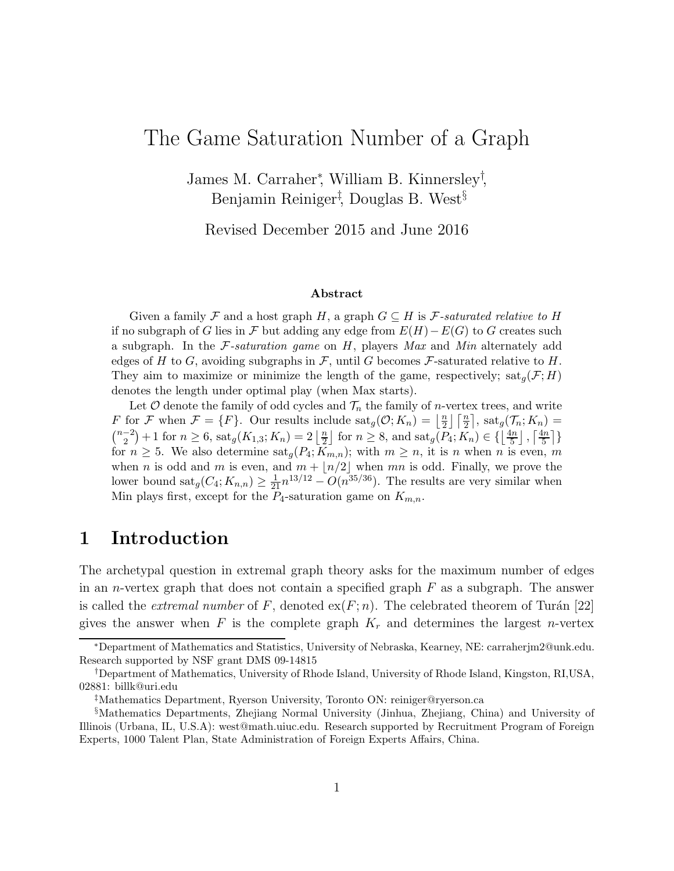# The Game Saturation Number of a Graph

James M. Carraher<sup>∗</sup> , William B. Kinnersley† , Benjamin Reiniger‡ , Douglas B. West§

Revised December 2015 and June 2016

#### Abstract

Given a family F and a host graph H, a graph  $G \subseteq H$  is F-saturated relative to H if no subgraph of G lies in F but adding any edge from  $E(H)-E(G)$  to G creates such a subgraph. In the  $F$ -saturation game on  $H$ , players Max and Min alternately add edges of H to G, avoiding subgraphs in  $\mathcal F$ , until G becomes  $\mathcal F$ -saturated relative to H. They aim to maximize or minimize the length of the game, respectively;  $\text{sat}_q(\mathcal{F}; H)$ denotes the length under optimal play (when Max starts).

Let  $O$  denote the family of odd cycles and  $\mathcal{T}_n$  the family of *n*-vertex trees, and write F for F when  $\mathcal{F} = \{F\}$ . Our results include  $\text{sat}_g(\mathcal{O}; K_n) = \left\lfloor \frac{n}{2} \right\rfloor$  $\left[\frac{n}{2}\right]$ , sat $g(\mathcal{T}_n; K_n)$  =  $\binom{n-2}{2}+1$  for  $n \geq 6$ ,  $\text{sat}_g(K_{1,3}; K_n) = 2 \lfloor \frac{n}{2} \rfloor$  $\frac{n}{2}$  for  $n \geq 8$ , and  $\text{sat}_g(P_4; K_n) \in \{ \frac{4n}{5} \}$  $\frac{\ln n}{5}$ ,  $\frac{4n}{5}$  $\frac{\lfloor n}{5} \rfloor$ for  $n \geq 5$ . We also determine  $\text{sat}_g(P_4; \overline{K}_{m,n})$ ; with  $m \geq n$ , it is n when n is even, m when n is odd and m is even, and  $m + \lfloor n/2 \rfloor$  when mn is odd. Finally, we prove the lower bound  $\text{sat}_g(C_4; K_{n,n}) \geq \frac{1}{21} n^{13/12} - O(n^{35/36})$ . The results are very similar when Min plays first, except for the  $P_4$ -saturation game on  $K_{m,n}$ .

#### 1 Introduction

The archetypal question in extremal graph theory asks for the maximum number of edges in an *n*-vertex graph that does not contain a specified graph  $F$  as a subgraph. The answer is called the *extremal number* of F, denoted  $ex(F; n)$ . The celebrated theorem of Turán [22] gives the answer when F is the complete graph  $K_r$  and determines the largest n-vertex

<sup>∗</sup>Department of Mathematics and Statistics, University of Nebraska, Kearney, NE: carraherjm2@unk.edu. Research supported by NSF grant DMS 09-14815

<sup>†</sup>Department of Mathematics, University of Rhode Island, University of Rhode Island, Kingston, RI,USA, 02881: billk@uri.edu

<sup>‡</sup>Mathematics Department, Ryerson University, Toronto ON: reiniger@ryerson.ca

<sup>§</sup>Mathematics Departments, Zhejiang Normal University (Jinhua, Zhejiang, China) and University of Illinois (Urbana, IL, U.S.A): west@math.uiuc.edu. Research supported by Recruitment Program of Foreign Experts, 1000 Talent Plan, State Administration of Foreign Experts Affairs, China.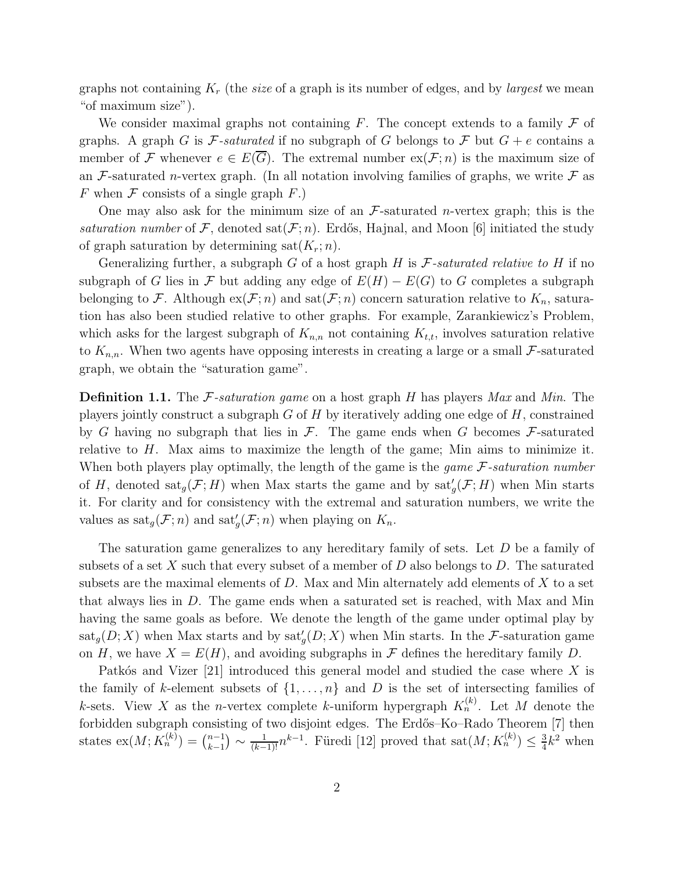graphs not containing K<sup>r</sup> (the *size* of a graph is its number of edges, and by *largest* we mean "of maximum size").

We consider maximal graphs not containing  $F$ . The concept extends to a family  $\mathcal F$  of graphs. A graph G is  $\mathcal{F}$ -saturated if no subgraph of G belongs to  $\mathcal{F}$  but  $G + e$  contains a member of F whenever  $e \in E(\overline{G})$ . The extremal number  $ex(\mathcal{F}; n)$  is the maximum size of an F-saturated *n*-vertex graph. (In all notation involving families of graphs, we write F as F when  $\mathcal F$  consists of a single graph  $F$ .)

One may also ask for the minimum size of an  $\mathcal F$ -saturated *n*-vertex graph; this is the *saturation number* of  $\mathcal F$ , denoted sat $(\mathcal F; n)$ . Erdős, Hajnal, and Moon [6] initiated the study of graph saturation by determining  $sat(K_r; n)$ .

Generalizing further, a subgraph G of a host graph H is F*-saturated relative to* H if no subgraph of G lies in F but adding any edge of  $E(H) - E(G)$  to G completes a subgraph belonging to F. Although  $ex(\mathcal{F}; n)$  and  $sat(\mathcal{F}; n)$  concern saturation relative to  $K_n$ , saturation has also been studied relative to other graphs. For example, Zarankiewicz's Problem, which asks for the largest subgraph of  $K_{n,n}$  not containing  $K_{t,t}$ , involves saturation relative to  $K_{n,n}$ . When two agents have opposing interests in creating a large or a small  $\mathcal{F}$ -saturated graph, we obtain the "saturation game".

Definition 1.1. The F*-saturation game* on a host graph H has players *Max* and *Min*. The players jointly construct a subgraph  $G$  of  $H$  by iteratively adding one edge of  $H$ , constrained by G having no subgraph that lies in  $\mathcal F$ . The game ends when G becomes  $\mathcal F$ -saturated relative to  $H$ . Max aims to maximize the length of the game; Min aims to minimize it. When both players play optimally, the length of the game is the *game* F*-saturation number* of H, denoted  $\text{sat}_g(\mathcal{F};H)$  when Max starts the game and by  $\text{sat}'_g(\mathcal{F};H)$  when Min starts it. For clarity and for consistency with the extremal and saturation numbers, we write the values as  $\text{sat}_g(\mathcal{F};n)$  and  $\text{sat}'_g(\mathcal{F};n)$  when playing on  $K_n$ .

The saturation game generalizes to any hereditary family of sets. Let D be a family of subsets of a set X such that every subset of a member of D also belongs to D. The saturated subsets are the maximal elements of  $D$ . Max and Min alternately add elements of  $X$  to a set that always lies in D. The game ends when a saturated set is reached, with Max and Min having the same goals as before. We denote the length of the game under optimal play by  $\text{sat}_g(D;X)$  when Max starts and by  $\text{sat}'_g(D;X)$  when Min starts. In the F-saturation game on H, we have  $X = E(H)$ , and avoiding subgraphs in F defines the hereditary family D.

Patkós and Vizer [21] introduced this general model and studied the case where  $X$  is the family of k-element subsets of  $\{1, \ldots, n\}$  and D is the set of intersecting families of k-sets. View X as the *n*-vertex complete k-uniform hypergraph  $K_n^{(k)}$ . Let M denote the forbidden subgraph consisting of two disjoint edges. The Erdős–Ko–Rado Theorem [7] then states  $ex(M; K_n^{(k)}) = {n-1 \choose k-1}$  $\frac{n-1}{(k-1)!}n^{k-1}$ . Füredi [12] proved that sat $(M; K_n^{(k)}) \leq \frac{3}{4}$  $\frac{3}{4}k^2$  when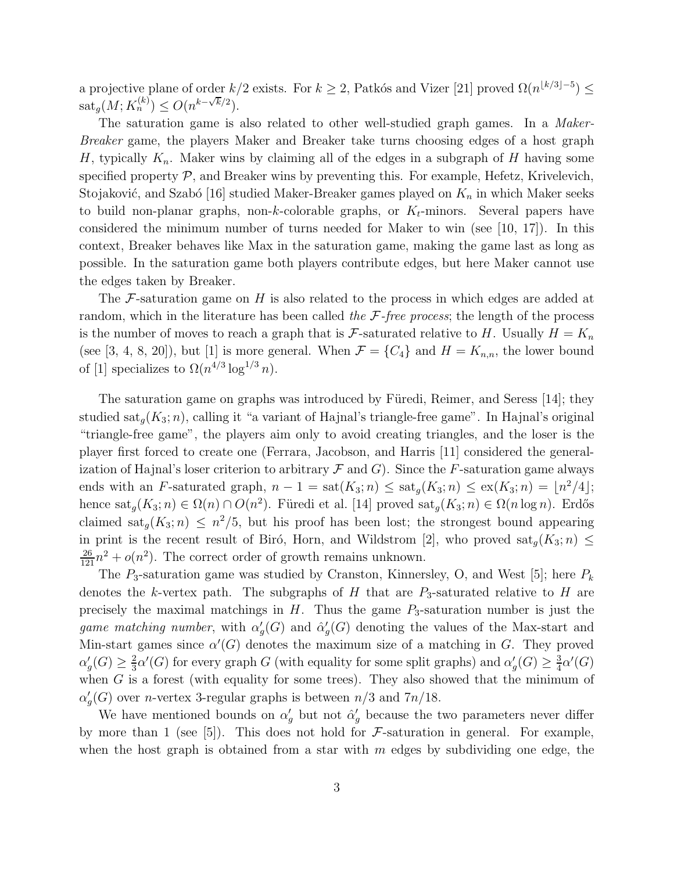a projective plane of order  $k/2$  exists. For  $k \geq 2$ , Patkós and Vizer [21] proved  $\Omega(n^{\lfloor k/3 \rfloor - 5}) \leq$  $\mathrm{sat}_g(M;K_n^{(k)}) \leq O(n^{k-\sqrt{k}/2}).$ 

The saturation game is also related to other well-studied graph games. In a *Maker-Breaker* game, the players Maker and Breaker take turns choosing edges of a host graph H, typically  $K_n$ . Maker wins by claiming all of the edges in a subgraph of H having some specified property  $P$ , and Breaker wins by preventing this. For example, Hefetz, Krivelevich, Stojaković, and Szabó [16] studied Maker-Breaker games played on  $K_n$  in which Maker seeks to build non-planar graphs, non-k-colorable graphs, or  $K_t$ -minors. Several papers have considered the minimum number of turns needed for Maker to win (see [10, 17]). In this context, Breaker behaves like Max in the saturation game, making the game last as long as possible. In the saturation game both players contribute edges, but here Maker cannot use the edges taken by Breaker.

The  $\mathcal F$ -saturation game on H is also related to the process in which edges are added at random, which in the literature has been called *the* F*-free process*; the length of the process is the number of moves to reach a graph that is F-saturated relative to H. Usually  $H = K_n$ (see [3, 4, 8, 20]), but [1] is more general. When  $\mathcal{F} = \{C_4\}$  and  $H = K_{n,n}$ , the lower bound of [1] specializes to  $\Omega(n^{4/3} \log^{1/3} n)$ .

The saturation game on graphs was introduced by Füredi, Reimer, and Seress [14]; they studied  $\text{sat}_g(K_3; n)$ , calling it "a variant of Hajnal's triangle-free game". In Hajnal's original "triangle-free game", the players aim only to avoid creating triangles, and the loser is the player first forced to create one (Ferrara, Jacobson, and Harris [11] considered the generalization of Hajnal's loser criterion to arbitrary  $\mathcal F$  and  $G$ ). Since the F-saturation game always ends with an F-saturated graph,  $n-1 = \text{sat}(K_3; n) \leq \text{sat}_g(K_3; n) \leq \text{ex}(K_3; n) = \lfloor n^2/4 \rfloor;$ hence  $\text{sat}_g(K_3; n) \in \Omega(n) \cap O(n^2)$ . Füredi et al. [14] proved  $\text{sat}_g(K_3; n) \in \Omega(n \log n)$ . Erdős claimed sat<sub>g</sub> $(K_3; n) \leq n^2/5$ , but his proof has been lost; the strongest bound appearing in print is the recent result of Biró, Horn, and Wildstrom [2], who proved  $\text{sat}_g(K_3; n) \leq$  $\frac{26}{121}n^2 + o(n^2)$ . The correct order of growth remains unknown.

The  $P_3$ -saturation game was studied by Cranston, Kinnersley, O, and West [5]; here  $P_k$ denotes the k-vertex path. The subgraphs of H that are  $P_3$ -saturated relative to H are precisely the maximal matchings in  $H$ . Thus the game  $P_3$ -saturation number is just the *game matching number*, with  $\alpha'_{g}(G)$  and  $\hat{\alpha}'_{g}(G)$  denoting the values of the Max-start and Min-start games since  $\alpha'(G)$  denotes the maximum size of a matching in G. They proved  $\alpha'_g(G) \geq \frac{2}{3}$  $\frac{2}{3}\alpha'(G)$  for every graph G (with equality for some split graphs) and  $\alpha'_{g}(G) \geq \frac{3}{4}$  $\frac{3}{4}\alpha'(G)$ when  $G$  is a forest (with equality for some trees). They also showed that the minimum of  $\alpha'_{g}(G)$  over *n*-vertex 3-regular graphs is between  $n/3$  and  $7n/18$ .

We have mentioned bounds on  $\alpha'_{g}$  but not  $\hat{\alpha}'_{g}$  because the two parameters never differ by more than 1 (see  $[5]$ ). This does not hold for  $\mathcal{F}\text{-}saturation$  in general. For example, when the host graph is obtained from a star with  $m$  edges by subdividing one edge, the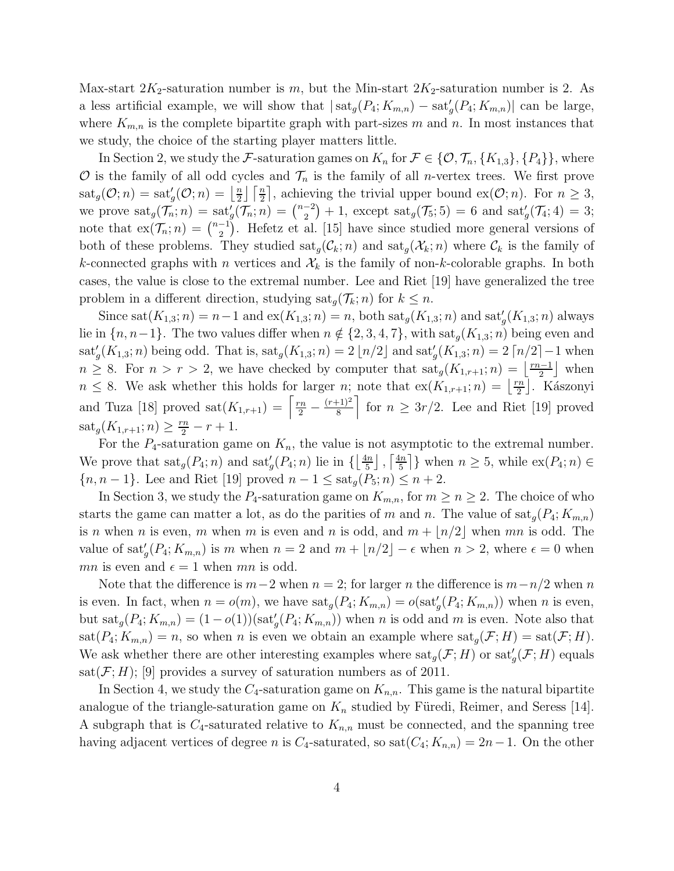Max-start  $2K_2$ -saturation number is m, but the Min-start  $2K_2$ -saturation number is 2. As a less artificial example, we will show that  $|\operatorname{sat}_g(P_4; K_{m,n}) - \operatorname{sat}_g'(P_4; K_{m,n})|$  can be large, where  $K_{m,n}$  is the complete bipartite graph with part-sizes m and n. In most instances that we study, the choice of the starting player matters little.

In Section 2, we study the F-saturation games on  $K_n$  for  $\mathcal{F} \in \{0, \mathcal{T}_n, \{K_{1,3}\}, \{P_4\}\}\$ , where  $\mathcal O$  is the family of all odd cycles and  $\mathcal T_n$  is the family of all *n*-vertex trees. We first prove  $\mathrm{sat}_g(\mathcal{O};n)=\mathrm{sat}_g'(\mathcal{O};n)=\left\lfloor\frac{n}{2}\right\rfloor$  $\frac{n}{2}$   $\lceil \frac{n}{2} \rceil$ , achieving the trivial upper bound  $ex(\mathcal{O}; n)$ . For  $n \geq 3$ , we prove  $\text{sat}_g(\mathcal{T}_n; n) = \text{sat}'_g(\mathcal{T}_n; n) = \binom{n-2}{2} + 1$ , except  $\text{sat}_g(\mathcal{T}_5; 5) = 6$  and  $\text{sat}'_g(\mathcal{T}_4; 4) = 3$ ; note that  $ex(\mathcal{T}_n; n) = \binom{n-1}{2}$ . Hefetz et al. [15] have since studied more general versions of both of these problems. They studied  $\text{sat}_g(\mathcal{C}_k; n)$  and  $\text{sat}_g(\mathcal{X}_k; n)$  where  $\mathcal{C}_k$  is the family of k-connected graphs with n vertices and  $\mathcal{X}_k$  is the family of non-k-colorable graphs. In both cases, the value is close to the extremal number. Lee and Riet [19] have generalized the tree problem in a different direction, studying  $\text{sat}_q(\mathcal{T}_k; n)$  for  $k \leq n$ .

Since  $\text{sat}(K_{1,3}; n) = n - 1$  and  $\text{ex}(K_{1,3}; n) = n$ , both  $\text{sat}_g(K_{1,3}; n)$  and  $\text{sat}'_g(K_{1,3}; n)$  always lie in  $\{n, n-1\}$ . The two values differ when  $n \notin \{2, 3, 4, 7\}$ , with  $\text{sat}_q(K_{1,3}; n)$  being even and  $\mathrm{sat}'_g(K_{1,3};n)$  being odd. That is,  $\mathrm{sat}_g(K_{1,3};n)=2\left\lfloor n/2\right\rfloor$  and  $\mathrm{sat}'_g(K_{1,3};n)=2\left\lceil n/2\right\rceil-1$  when  $n \geq 8$ . For  $n > r > 2$ , we have checked by computer that  $\text{sat}_g(K_{1,r+1}; n) = \lfloor \frac{rn-1}{2} \rfloor$  when  $n \leq 8$ . We ask whether this holds for larger n; note that  $ex(K_{1,r+1}; n) = \lfloor \frac{rn}{2} \rfloor$  $\left[\frac{n}{2}\right]$ . Kászonyi and Tuza [18] proved  $\text{sat}(K_{1,r+1}) = \left\lceil \frac{rn}{2} - \right\rceil$  $(r+1)^2$  $\frac{(-1)^2}{8}$  for  $n \geq 3r/2$ . Lee and Riet [19] proved  $\text{sat}_g(K_{1,r+1}; n) \ge \frac{rn}{2} - r + 1.$ 

For the  $P_4$ -saturation game on  $K_n$ , the value is not asymptotic to the extremal number. We prove that  $\text{sat}_g(P_4; n)$  and  $\text{sat}'_g(P_4; n)$  lie in  $\{\lfloor \frac{4n}{5} \rfloor\}$  $\frac{\ln n}{5}$ ,  $\frac{4n}{5}$  $\left\{\frac{\ln n}{5}\right\}$  when  $n \geq 5$ , while  $\exp(P_4; n) \in$  ${n, n-1}$ . Lee and Riet [19] proved  $n-1 \leq \mathrm{sat}_q(P_5; n) \leq n+2$ .

In Section 3, we study the  $P_4$ -saturation game on  $K_{m,n}$ , for  $m \geq n \geq 2$ . The choice of who starts the game can matter a lot, as do the parities of m and n. The value of  $\text{sat}_q(P_4; K_{m,n})$ is *n* when *n* is even, *m* when *m* is even and *n* is odd, and  $m + \lfloor n/2 \rfloor$  when *mn* is odd. The value of  $\mathrm{sat}'_g(P_4; K_{m,n})$  is m when  $n=2$  and  $m + \lfloor n/2 \rfloor - \epsilon$  when  $n > 2$ , where  $\epsilon = 0$  when mn is even and  $\epsilon = 1$  when mn is odd.

Note that the difference is  $m-2$  when  $n = 2$ ; for larger n the difference is  $m-n/2$  when n is even. In fact, when  $n = o(m)$ , we have  $\text{sat}_g(P_4; K_{m,n}) = o(\text{sat}'_g(P_4; K_{m,n}))$  when n is even, but  $\text{sat}_g(P_4; K_{m,n}) = (1 - o(1))(\text{sat}'_g(P_4; K_{m,n}))$  when n is odd and m is even. Note also that  $\text{sat}(P_4; K_{m,n}) = n$ , so when *n* is even we obtain an example where  $\text{sat}_g(\mathcal{F}; H) = \text{sat}(\mathcal{F}; H)$ . We ask whether there are other interesting examples where  $\text{sat}_g(\mathcal{F};H)$  or  $\text{sat}'_g(\mathcal{F};H)$  equals  $sat(F; H); [9]$  provides a survey of saturation numbers as of 2011.

In Section 4, we study the  $C_4$ -saturation game on  $K_{n,n}$ . This game is the natural bipartite analogue of the triangle-saturation game on  $K_n$  studied by Füredi, Reimer, and Seress [14]. A subgraph that is  $C_4$ -saturated relative to  $K_{n,n}$  must be connected, and the spanning tree having adjacent vertices of degree n is  $C_4$ -saturated, so sat $(C_4; K_{n,n}) = 2n-1$ . On the other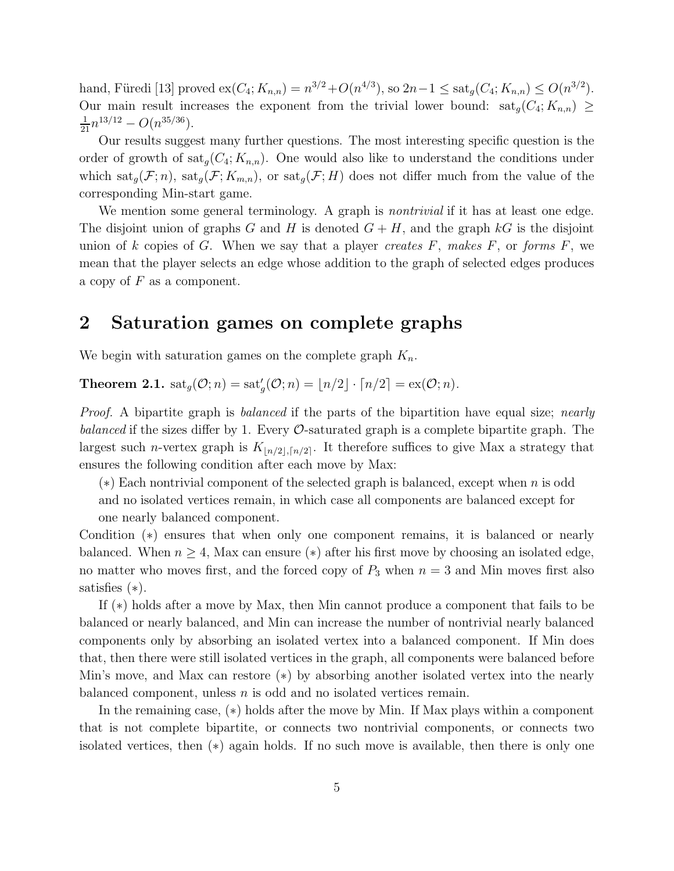hand, Füredi [13] proved  $ex(C_4; K_{n,n}) = n^{3/2} + O(n^{4/3})$ , so  $2n - 1 \leq sat_g(C_4; K_{n,n}) \leq O(n^{3/2})$ . Our main result increases the exponent from the trivial lower bound:  $\text{sat}_g(C_4; K_{n,n}) \geq$  $\frac{1}{21}n^{13/12} - O(n^{35/36}).$ 

Our results suggest many further questions. The most interesting specific question is the order of growth of  $\text{sat}_q(C_4; K_{n,n})$ . One would also like to understand the conditions under which  $\text{sat}_g(\mathcal{F};n)$ ,  $\text{sat}_g(\mathcal{F};K_{m,n})$ , or  $\text{sat}_g(\mathcal{F};H)$  does not differ much from the value of the corresponding Min-start game.

We mention some general terminology. A graph is *nontrivial* if it has at least one edge. The disjoint union of graphs G and H is denoted  $G + H$ , and the graph  $kG$  is the disjoint union of k copies of G. When we say that a player *creates* F, *makes* F, or *forms* F, we mean that the player selects an edge whose addition to the graph of selected edges produces a copy of  $F$  as a component.

## 2 Saturation games on complete graphs

We begin with saturation games on the complete graph  $K_n$ .

**Theorem 2.1.**  $\text{sat}_g(\mathcal{O}; n) = \text{sat}'_g(\mathcal{O}; n) = \lfloor n/2 \rfloor \cdot \lceil n/2 \rceil = \text{ex}(\mathcal{O}; n)$ .

*Proof.* A bipartite graph is *balanced* if the parts of the bipartition have equal size; *nearly balanced* if the sizes differ by 1. Every *O*-saturated graph is a complete bipartite graph. The largest such *n*-vertex graph is  $K_{\lfloor n/2 \rfloor, \lceil n/2 \rceil}$ . It therefore suffices to give Max a strategy that ensures the following condition after each move by Max:

 $(*)$  Each nontrivial component of the selected graph is balanced, except when n is odd

and no isolated vertices remain, in which case all components are balanced except for one nearly balanced component.

Condition (∗) ensures that when only one component remains, it is balanced or nearly balanced. When  $n \geq 4$ , Max can ensure (\*) after his first move by choosing an isolated edge. no matter who moves first, and the forced copy of  $P_3$  when  $n = 3$  and Min moves first also satisfies (∗).

If (∗) holds after a move by Max, then Min cannot produce a component that fails to be balanced or nearly balanced, and Min can increase the number of nontrivial nearly balanced components only by absorbing an isolated vertex into a balanced component. If Min does that, then there were still isolated vertices in the graph, all components were balanced before Min's move, and Max can restore (∗) by absorbing another isolated vertex into the nearly balanced component, unless n is odd and no isolated vertices remain.

In the remaining case, (∗) holds after the move by Min. If Max plays within a component that is not complete bipartite, or connects two nontrivial components, or connects two isolated vertices, then (∗) again holds. If no such move is available, then there is only one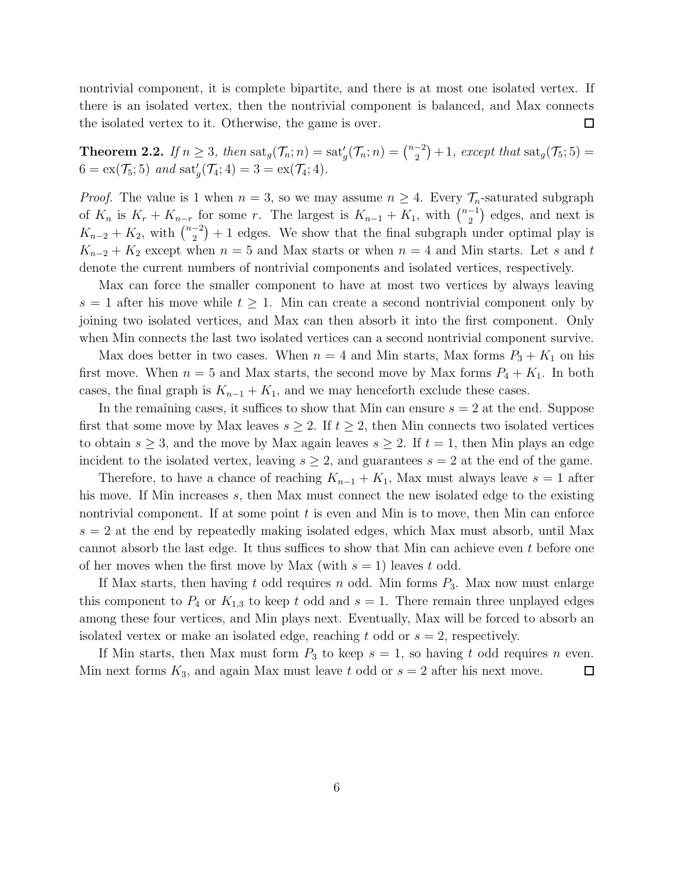nontrivial component, it is complete bipartite, and there is at most one isolated vertex. If there is an isolated vertex, then the nontrivial component is balanced, and Max connects the isolated vertex to it. Otherwise, the game is over.  $\Box$ 

**Theorem 2.2.** If  $n \geq 3$ , then  $\text{sat}_g(\mathcal{T}_n; n) = \text{sat}_g'(\mathcal{T}_n; n) = \binom{n-2}{2} + 1$ , except that  $\text{sat}_g(\mathcal{T}_5; 5) =$  $6 = \text{ex}(\mathcal{T}_5; 5)$  *and*  $\text{sat}'_g(\mathcal{T}_4; 4) = 3 = \text{ex}(\mathcal{T}_4; 4)$ *.* 

*Proof.* The value is 1 when  $n = 3$ , so we may assume  $n \geq 4$ . Every  $\mathcal{T}_n$ -saturated subgraph of  $K_n$  is  $K_r + K_{n-r}$  for some r. The largest is  $K_{n-1} + K_1$ , with  $\binom{n-1}{2}$  edges, and next is  $K_{n-2} + K_2$ , with  $\binom{n-2}{2} + 1$  edges. We show that the final subgraph under optimal play is  $K_{n-2} + K_2$  except when  $n = 5$  and Max starts or when  $n = 4$  and Min starts. Let s and t denote the current numbers of nontrivial components and isolated vertices, respectively.

Max can force the smaller component to have at most two vertices by always leaving  $s = 1$  after his move while  $t \geq 1$ . Min can create a second nontrivial component only by joining two isolated vertices, and Max can then absorb it into the first component. Only when Min connects the last two isolated vertices can a second nontrivial component survive.

Max does better in two cases. When  $n = 4$  and Min starts, Max forms  $P_3 + K_1$  on his first move. When  $n = 5$  and Max starts, the second move by Max forms  $P_4 + K_1$ . In both cases, the final graph is  $K_{n-1} + K_1$ , and we may henceforth exclude these cases.

In the remaining cases, it suffices to show that Min can ensure  $s = 2$  at the end. Suppose first that some move by Max leaves  $s \geq 2$ . If  $t \geq 2$ , then Min connects two isolated vertices to obtain  $s \geq 3$ , and the move by Max again leaves  $s \geq 2$ . If  $t = 1$ , then Min plays an edge incident to the isolated vertex, leaving  $s \geq 2$ , and guarantees  $s = 2$  at the end of the game.

Therefore, to have a chance of reaching  $K_{n-1} + K_1$ , Max must always leave  $s = 1$  after his move. If Min increases s, then Max must connect the new isolated edge to the existing nontrivial component. If at some point  $t$  is even and Min is to move, then Min can enforce  $s = 2$  at the end by repeatedly making isolated edges, which Max must absorb, until Max cannot absorb the last edge. It thus suffices to show that Min can achieve even t before one of her moves when the first move by Max (with  $s = 1$ ) leaves t odd.

If Max starts, then having t odd requires n odd. Min forms  $P_3$ . Max now must enlarge this component to  $P_4$  or  $K_{1,3}$  to keep t odd and  $s = 1$ . There remain three unplayed edges among these four vertices, and Min plays next. Eventually, Max will be forced to absorb an isolated vertex or make an isolated edge, reaching t odd or  $s = 2$ , respectively.

If Min starts, then Max must form  $P_3$  to keep  $s = 1$ , so having t odd requires n even. Min next forms  $K_3$ , and again Max must leave t odd or  $s = 2$  after his next move.  $\Box$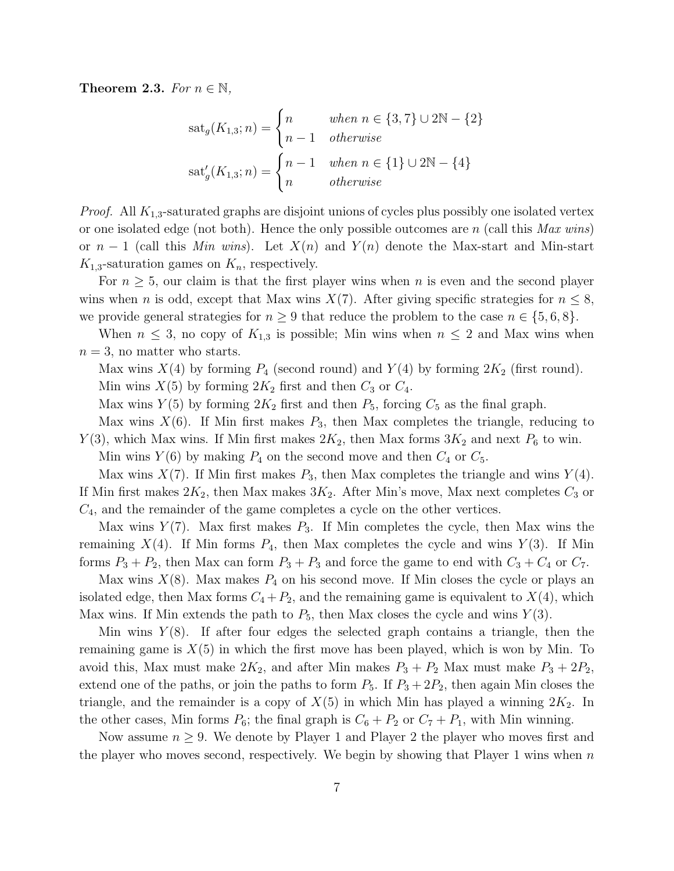**Theorem 2.3.** *For*  $n \in \mathbb{N}$ *,* 

$$
sat_g(K_{1,3}; n) = \begin{cases} n & when \ n \in \{3, 7\} \cup 2\mathbb{N} - \{2\} \\ n-1 & otherwise \end{cases}
$$

$$
sat'_g(K_{1,3}; n) = \begin{cases} n-1 & when \ n \in \{1\} \cup 2\mathbb{N} - \{4\} \\ n & otherwise \end{cases}
$$

*Proof.* All  $K_{1,3}$ -saturated graphs are disjoint unions of cycles plus possibly one isolated vertex or one isolated edge (not both). Hence the only possible outcomes are n (call this *Max wins*) or  $n-1$  (call this *Min wins*). Let  $X(n)$  and  $Y(n)$  denote the Max-start and Min-start  $K_{1,3}$ -saturation games on  $K_n$ , respectively.

For  $n \geq 5$ , our claim is that the first player wins when n is even and the second player wins when n is odd, except that Max wins  $X(7)$ . After giving specific strategies for  $n \leq 8$ , we provide general strategies for  $n \geq 9$  that reduce the problem to the case  $n \in \{5,6,8\}$ .

When  $n \leq 3$ , no copy of  $K_{1,3}$  is possible; Min wins when  $n \leq 2$  and Max wins when  $n = 3$ , no matter who starts.

Max wins  $X(4)$  by forming  $P_4$  (second round) and  $Y(4)$  by forming  $2K_2$  (first round).

Min wins  $X(5)$  by forming  $2K_2$  first and then  $C_3$  or  $C_4$ .

Max wins  $Y(5)$  by forming  $2K_2$  first and then  $P_5$ , forcing  $C_5$  as the final graph.

Max wins  $X(6)$ . If Min first makes  $P_3$ , then Max completes the triangle, reducing to  $Y(3)$ , which Max wins. If Min first makes  $2K_2$ , then Max forms  $3K_2$  and next  $P_6$  to win.

Min wins  $Y(6)$  by making  $P_4$  on the second move and then  $C_4$  or  $C_5$ .

Max wins  $X(7)$ . If Min first makes  $P_3$ , then Max completes the triangle and wins  $Y(4)$ . If Min first makes  $2K_2$ , then Max makes  $3K_2$ . After Min's move, Max next completes  $C_3$  or  $C_4$ , and the remainder of the game completes a cycle on the other vertices.

Max wins  $Y(7)$ . Max first makes  $P_3$ . If Min completes the cycle, then Max wins the remaining  $X(4)$ . If Min forms  $P_4$ , then Max completes the cycle and wins  $Y(3)$ . If Min forms  $P_3 + P_2$ , then Max can form  $P_3 + P_3$  and force the game to end with  $C_3 + C_4$  or  $C_7$ .

Max wins  $X(8)$ . Max makes  $P_4$  on his second move. If Min closes the cycle or plays an isolated edge, then Max forms  $C_4 + P_2$ , and the remaining game is equivalent to  $X(4)$ , which Max wins. If Min extends the path to  $P_5$ , then Max closes the cycle and wins  $Y(3)$ .

Min wins  $Y(8)$ . If after four edges the selected graph contains a triangle, then the remaining game is  $X(5)$  in which the first move has been played, which is won by Min. To avoid this, Max must make  $2K_2$ , and after Min makes  $P_3 + P_2$  Max must make  $P_3 + 2P_2$ , extend one of the paths, or join the paths to form  $P_5$ . If  $P_3 + 2P_2$ , then again Min closes the triangle, and the remainder is a copy of  $X(5)$  in which Min has played a winning  $2K_2$ . In the other cases, Min forms  $P_6$ ; the final graph is  $C_6 + P_2$  or  $C_7 + P_1$ , with Min winning.

Now assume  $n \geq 9$ . We denote by Player 1 and Player 2 the player who moves first and the player who moves second, respectively. We begin by showing that Player 1 wins when  $n$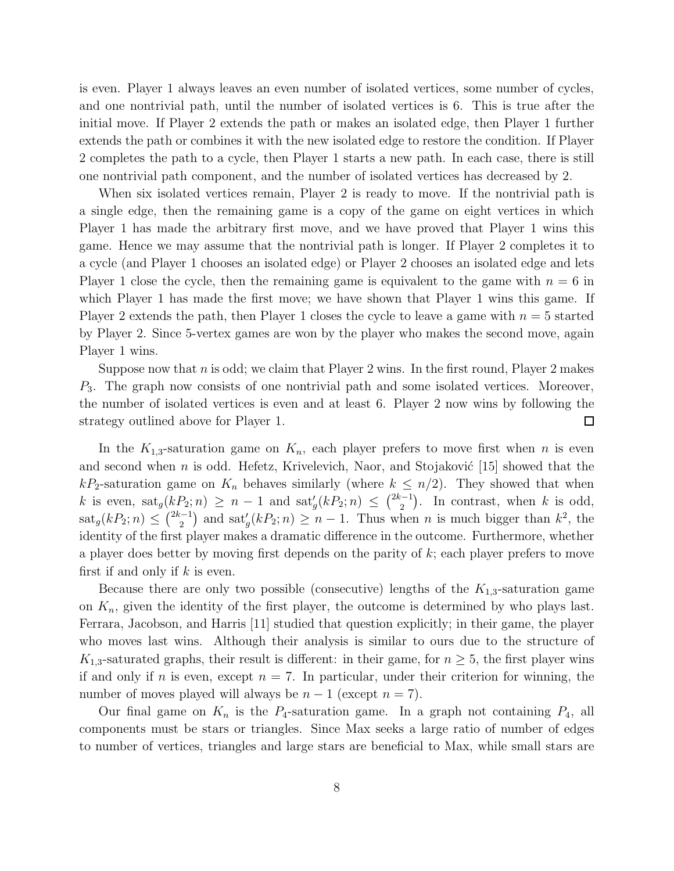is even. Player 1 always leaves an even number of isolated vertices, some number of cycles, and one nontrivial path, until the number of isolated vertices is 6. This is true after the initial move. If Player 2 extends the path or makes an isolated edge, then Player 1 further extends the path or combines it with the new isolated edge to restore the condition. If Player 2 completes the path to a cycle, then Player 1 starts a new path. In each case, there is still one nontrivial path component, and the number of isolated vertices has decreased by 2.

When six isolated vertices remain, Player 2 is ready to move. If the nontrivial path is a single edge, then the remaining game is a copy of the game on eight vertices in which Player 1 has made the arbitrary first move, and we have proved that Player 1 wins this game. Hence we may assume that the nontrivial path is longer. If Player 2 completes it to a cycle (and Player 1 chooses an isolated edge) or Player 2 chooses an isolated edge and lets Player 1 close the cycle, then the remaining game is equivalent to the game with  $n = 6$  in which Player 1 has made the first move; we have shown that Player 1 wins this game. If Player 2 extends the path, then Player 1 closes the cycle to leave a game with  $n = 5$  started by Player 2. Since 5-vertex games are won by the player who makes the second move, again Player 1 wins.

Suppose now that  $n$  is odd; we claim that Player 2 wins. In the first round, Player 2 makes  $P_3$ . The graph now consists of one nontrivial path and some isolated vertices. Moreover, the number of isolated vertices is even and at least 6. Player 2 now wins by following the  $\Box$ strategy outlined above for Player 1.

In the  $K_{1,3}$ -saturation game on  $K_n$ , each player prefers to move first when n is even and second when n is odd. Hefetz, Krivelevich, Naor, and Stojaković [15] showed that the  $kP_2$ -saturation game on  $K_n$  behaves similarly (where  $k \leq n/2$ ). They showed that when k is even,  $\text{sat}_g(kP_2; n) \geq n-1$  and  $\text{sat}'_g(kP_2; n) \leq {2k-1 \choose 2}$ . In contrast, when k is odd,  $\text{sat}_g(kP_2; n) \leq {2k-1 \choose 2}$  and  $\text{sat}'_g(kP_2; n) \geq n-1$ . Thus when n is much bigger than  $k^2$ , the identity of the first player makes a dramatic difference in the outcome. Furthermore, whether a player does better by moving first depends on the parity of  $k$ ; each player prefers to move first if and only if  $k$  is even.

Because there are only two possible (consecutive) lengths of the  $K_{1,3}$ -saturation game on  $K_n$ , given the identity of the first player, the outcome is determined by who plays last. Ferrara, Jacobson, and Harris [11] studied that question explicitly; in their game, the player who moves last wins. Although their analysis is similar to ours due to the structure of K<sub>1,3</sub>-saturated graphs, their result is different: in their game, for  $n \geq 5$ , the first player wins if and only if n is even, except  $n = 7$ . In particular, under their criterion for winning, the number of moves played will always be  $n-1$  (except  $n=7$ ).

Our final game on  $K_n$  is the  $P_4$ -saturation game. In a graph not containing  $P_4$ , all components must be stars or triangles. Since Max seeks a large ratio of number of edges to number of vertices, triangles and large stars are beneficial to Max, while small stars are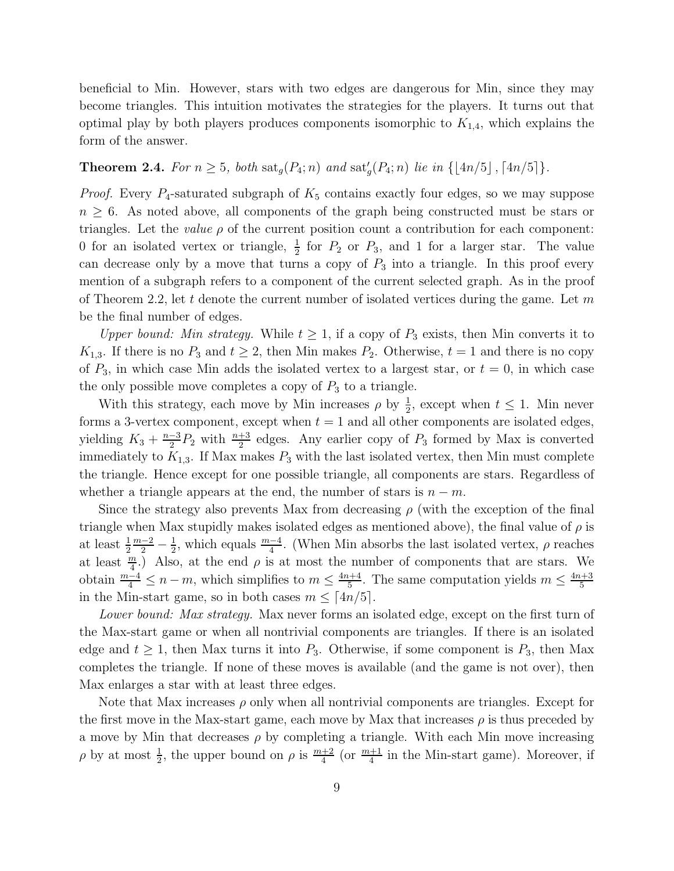beneficial to Min. However, stars with two edges are dangerous for Min, since they may become triangles. This intuition motivates the strategies for the players. It turns out that optimal play by both players produces components isomorphic to  $K_{1,4}$ , which explains the form of the answer.

## **Theorem 2.4.** For  $n \ge 5$ , both  $\text{sat}_g(P_4; n)$  and  $\text{sat}'_g(P_4; n)$  lie in  $\{ \lfloor 4n/5 \rfloor, \lceil 4n/5 \rceil \}.$

*Proof.* Every  $P_4$ -saturated subgraph of  $K_5$  contains exactly four edges, so we may suppose  $n \geq 6$ . As noted above, all components of the graph being constructed must be stars or triangles. Let the *value*  $\rho$  of the current position count a contribution for each component: 0 for an isolated vertex or triangle,  $\frac{1}{2}$  for  $P_2$  or  $P_3$ , and 1 for a larger star. The value can decrease only by a move that turns a copy of  $P_3$  into a triangle. In this proof every mention of a subgraph refers to a component of the current selected graph. As in the proof of Theorem 2.2, let t denote the current number of isolated vertices during the game. Let m be the final number of edges.

*Upper bound: Min strategy.* While  $t \geq 1$ , if a copy of  $P_3$  exists, then Min converts it to  $K_{1,3}$ . If there is no  $P_3$  and  $t \geq 2$ , then Min makes  $P_2$ . Otherwise,  $t = 1$  and there is no copy of  $P_3$ , in which case Min adds the isolated vertex to a largest star, or  $t = 0$ , in which case the only possible move completes a copy of  $P_3$  to a triangle.

With this strategy, each move by Min increases  $\rho$  by  $\frac{1}{2}$ , except when  $t \leq 1$ . Min never forms a 3-vertex component, except when  $t = 1$  and all other components are isolated edges, yielding  $K_3 + \frac{n-3}{2}P_2$  with  $\frac{n+3}{2}$  edges. Any earlier copy of  $P_3$  formed by Max is converted immediately to  $K_{1,3}$ . If Max makes  $P_3$  with the last isolated vertex, then Min must complete the triangle. Hence except for one possible triangle, all components are stars. Regardless of whether a triangle appears at the end, the number of stars is  $n - m$ .

Since the strategy also prevents Max from decreasing  $\rho$  (with the exception of the final triangle when Max stupidly makes isolated edges as mentioned above), the final value of  $\rho$  is at least  $\frac{1}{2} \frac{m-2}{2} - \frac{1}{2}$  $\frac{1}{2}$ , which equals  $\frac{m-4}{4}$ . (When Min absorbs the last isolated vertex, ρ reaches at least  $\frac{m}{4}$ .) Also, at the end  $\rho$  is at most the number of components that are stars. We obtain  $\frac{m-4}{4} \leq n-m$ , which simplifies to  $m \leq \frac{4n+4}{5}$  $\frac{6+4}{5}$ . The same computation yields  $m \leq \frac{4n+3}{5}$ 5 in the Min-start game, so in both cases  $m \leq \lceil 4n/5 \rceil$ .

*Lower bound: Max strategy.* Max never forms an isolated edge, except on the first turn of the Max-start game or when all nontrivial components are triangles. If there is an isolated edge and  $t \geq 1$ , then Max turns it into  $P_3$ . Otherwise, if some component is  $P_3$ , then Max completes the triangle. If none of these moves is available (and the game is not over), then Max enlarges a star with at least three edges.

Note that Max increases  $\rho$  only when all nontrivial components are triangles. Except for the first move in the Max-start game, each move by Max that increases  $\rho$  is thus preceded by a move by Min that decreases  $\rho$  by completing a triangle. With each Min move increasing  $\rho$  by at most  $\frac{1}{2}$ , the upper bound on  $\rho$  is  $\frac{m+2}{4}$  (or  $\frac{m+1}{4}$  in the Min-start game). Moreover, if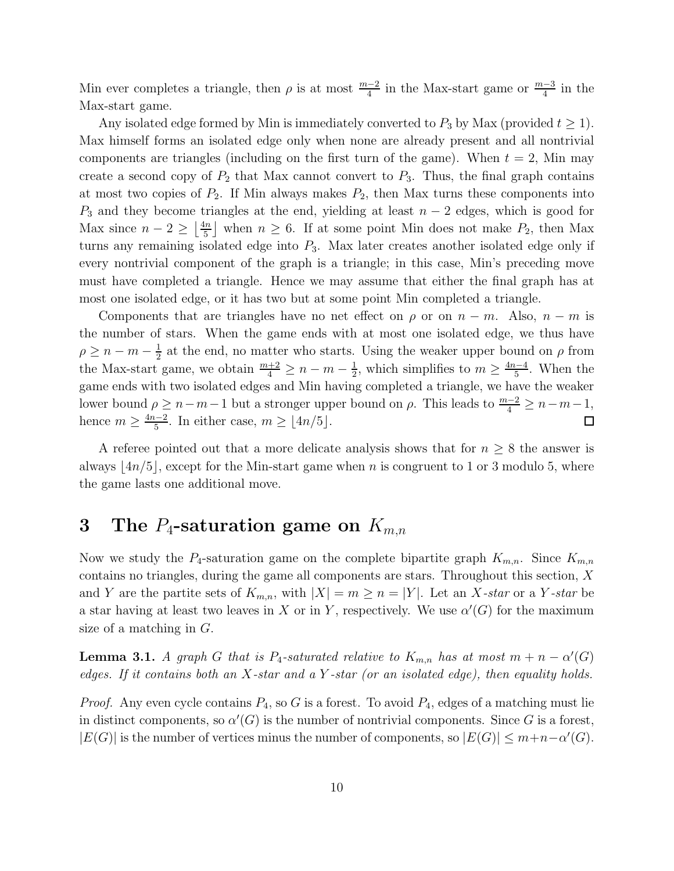Min ever completes a triangle, then  $\rho$  is at most  $\frac{m-2}{4}$  in the Max-start game or  $\frac{m-3}{4}$  in the Max-start game.

Any isolated edge formed by Min is immediately converted to  $P_3$  by Max (provided  $t \geq 1$ ). Max himself forms an isolated edge only when none are already present and all nontrivial components are triangles (including on the first turn of the game). When  $t = 2$ , Min may create a second copy of  $P_2$  that Max cannot convert to  $P_3$ . Thus, the final graph contains at most two copies of  $P_2$ . If Min always makes  $P_2$ , then Max turns these components into  $P_3$  and they become triangles at the end, yielding at least  $n-2$  edges, which is good for Max since  $n-2 \geq \left\lfloor \frac{4n}{5} \right\rfloor$  $\frac{\ln n}{5}$  when  $n \geq 6$ . If at some point Min does not make  $P_2$ , then Max turns any remaining isolated edge into  $P_3$ . Max later creates another isolated edge only if every nontrivial component of the graph is a triangle; in this case, Min's preceding move must have completed a triangle. Hence we may assume that either the final graph has at most one isolated edge, or it has two but at some point Min completed a triangle.

Components that are triangles have no net effect on  $\rho$  or on  $n - m$ . Also,  $n - m$  is the number of stars. When the game ends with at most one isolated edge, we thus have  $\rho \geq n-m-\frac{1}{2}$  $\frac{1}{2}$  at the end, no matter who starts. Using the weaker upper bound on  $\rho$  from the Max-start game, we obtain  $\frac{m+2}{4} \geq n-m-\frac{1}{2}$  $\frac{1}{2}$ , which simplifies to  $m \geq \frac{4n-4}{5}$ . When the game ends with two isolated edges and Min having completed a triangle, we have the weaker lower bound  $\rho \geq n-m-1$  but a stronger upper bound on  $\rho$ . This leads to  $\frac{m-2}{4} \geq n-m-1$ , hence  $m \geq \frac{4n-2}{5}$ . In either case,  $m \geq \lfloor 4n/5 \rfloor$ .  $\Box$ 

A referee pointed out that a more delicate analysis shows that for  $n \geq 8$  the answer is always  $\vert 4n/5 \vert$ , except for the Min-start game when n is congruent to 1 or 3 modulo 5, where the game lasts one additional move.

### 3 The  $P_4$ -saturation game on  $K_{m,n}$

Now we study the  $P_4$ -saturation game on the complete bipartite graph  $K_{m,n}$ . Since  $K_{m,n}$ contains no triangles, during the game all components are stars. Throughout this section, X and Y are the partite sets of  $K_{m,n}$ , with  $|X| = m \ge n = |Y|$ . Let an X-star or a Y-star be a star having at least two leaves in X or in Y, respectively. We use  $\alpha'(G)$  for the maximum size of a matching in  $G$ .

**Lemma 3.1.** *A graph G that is*  $P_4$ -saturated relative to  $K_{m,n}$  *has at most*  $m + n - \alpha'(G)$ *edges. If it contains both an* X*-star and a* Y *-star (or an isolated edge), then equality holds.*

*Proof.* Any even cycle contains  $P_4$ , so G is a forest. To avoid  $P_4$ , edges of a matching must lie in distinct components, so  $\alpha'(G)$  is the number of nontrivial components. Since G is a forest,  $|E(G)|$  is the number of vertices minus the number of components, so  $|E(G)| \leq m+n-\alpha'(G)$ .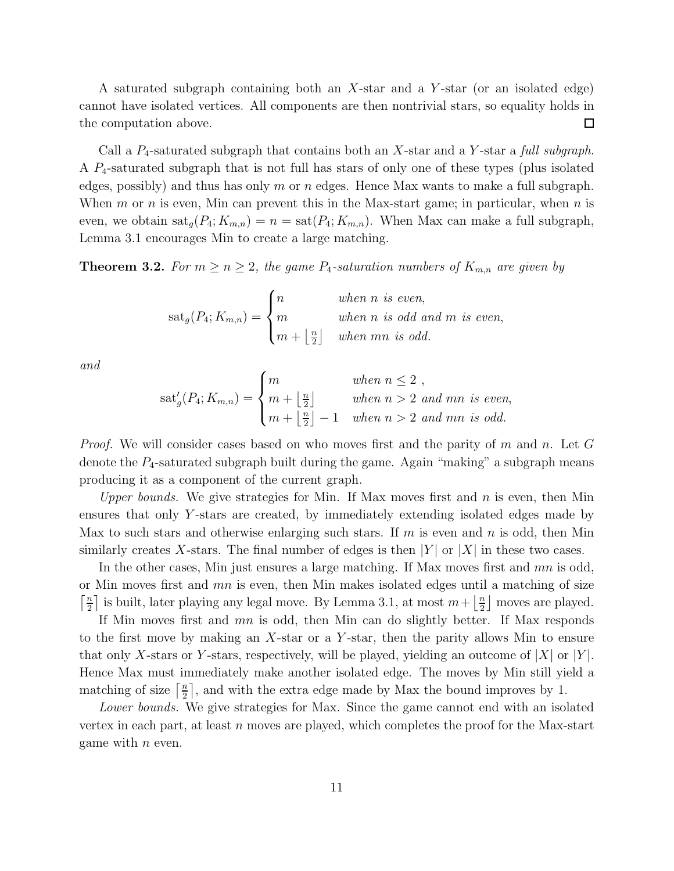A saturated subgraph containing both an X-star and a Y -star (or an isolated edge) cannot have isolated vertices. All components are then nontrivial stars, so equality holds in  $\Box$ the computation above.

Call a P4-saturated subgraph that contains both an X-star and a Y -star a *full subgraph*. A P4-saturated subgraph that is not full has stars of only one of these types (plus isolated edges, possibly) and thus has only m or n edges. Hence Max wants to make a full subgraph. When m or n is even, Min can prevent this in the Max-start game; in particular, when n is even, we obtain  $\text{sat}_q(P_4; K_{m,n}) = n = \text{sat}(P_4; K_{m,n})$ . When Max can make a full subgraph, Lemma 3.1 encourages Min to create a large matching.

**Theorem 3.2.** *For*  $m \geq n \geq 2$ , *the game*  $P_4$ -saturation numbers of  $K_{m,n}$  are given by

 $\operatorname{sat}_g(P_4;K_{m,n}) =$  $\sqrt{ }$  $\int$  $\overline{\mathcal{L}}$ n *when* n *is even*, m *when* n *is odd and* m *is even*,  $m + \left\lfloor \frac{n}{2} \right\rfloor$  $\left\lfloor \frac{n}{2} \right\rfloor$  when mn is odd.

*and*

$$
sat'_{g}(P_{4}; K_{m,n}) = \begin{cases} m & when n \leq 2 ,\\ m + \lfloor \frac{n}{2} \rfloor & when n > 2 and mn is even, \\ m + \lfloor \frac{n}{2} \rfloor - 1 & when n > 2 and mn is odd. \end{cases}
$$

*Proof.* We will consider cases based on who moves first and the parity of m and n. Let G denote the  $P_4$ -saturated subgraph built during the game. Again "making" a subgraph means producing it as a component of the current graph.

*Upper bounds.* We give strategies for Min. If Max moves first and  $n$  is even, then Min ensures that only Y-stars are created, by immediately extending isolated edges made by Max to such stars and otherwise enlarging such stars. If m is even and n is odd, then Min similarly creates X-stars. The final number of edges is then  $|Y|$  or  $|X|$  in these two cases.

In the other cases, Min just ensures a large matching. If Max moves first and  $mn$  is odd, or Min moves first and  $mn$  is even, then Min makes isolated edges until a matching of size  $\lceil \frac{n}{2} \rceil$  $\frac{n}{2}$  is built, later playing any legal move. By Lemma 3.1, at most  $m + \left\lfloor \frac{n}{2} \right\rfloor$  $\frac{n}{2}$  moves are played.

If Min moves first and mn is odd, then Min can do slightly better. If Max responds to the first move by making an X-star or a Y-star, then the parity allows Min to ensure that only X-stars or Y-stars, respectively, will be played, yielding an outcome of  $|X|$  or  $|Y|$ . Hence Max must immediately make another isolated edge. The moves by Min still yield a matching of size  $\left\lceil \frac{n}{2} \right\rceil$  $\frac{n}{2}$ , and with the extra edge made by Max the bound improves by 1.

*Lower bounds.* We give strategies for Max. Since the game cannot end with an isolated vertex in each part, at least  $n$  moves are played, which completes the proof for the Max-start game with  $n$  even.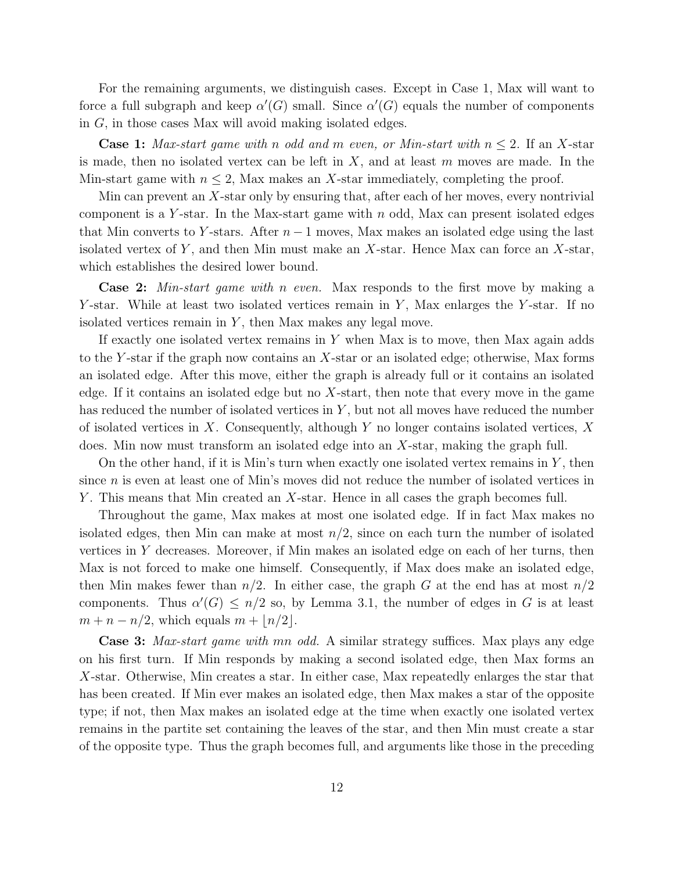For the remaining arguments, we distinguish cases. Except in Case 1, Max will want to force a full subgraph and keep  $\alpha'(G)$  small. Since  $\alpha'(G)$  equals the number of components in G, in those cases Max will avoid making isolated edges.

**Case 1:** Max-start game with n odd and m even, or Min-start with  $n \leq 2$ . If an X-star is made, then no isolated vertex can be left in  $X$ , and at least  $m$  moves are made. In the Min-start game with  $n \leq 2$ , Max makes an X-star immediately, completing the proof.

Min can prevent an X-star only by ensuring that, after each of her moves, every nontrivial component is a Y-star. In the Max-start game with  $n$  odd, Max can present isolated edges that Min converts to Y-stars. After  $n-1$  moves, Max makes an isolated edge using the last isolated vertex of Y, and then Min must make an  $X$ -star. Hence Max can force an  $X$ -star, which establishes the desired lower bound.

Case 2: *Min-start game with* n *even.* Max responds to the first move by making a Y-star. While at least two isolated vertices remain in Y, Max enlarges the Y-star. If no isolated vertices remain in  $Y$ , then Max makes any legal move.

If exactly one isolated vertex remains in  $Y$  when Max is to move, then Max again adds to the Y-star if the graph now contains an X-star or an isolated edge; otherwise, Max forms an isolated edge. After this move, either the graph is already full or it contains an isolated edge. If it contains an isolated edge but no  $X$ -start, then note that every move in the game has reduced the number of isolated vertices in  $Y$ , but not all moves have reduced the number of isolated vertices in X. Consequently, although Y no longer contains isolated vertices, X does. Min now must transform an isolated edge into an X-star, making the graph full.

On the other hand, if it is Min's turn when exactly one isolated vertex remains in  $Y$ , then since  $n$  is even at least one of Min's moves did not reduce the number of isolated vertices in Y. This means that Min created an X-star. Hence in all cases the graph becomes full.

Throughout the game, Max makes at most one isolated edge. If in fact Max makes no isolated edges, then Min can make at most  $n/2$ , since on each turn the number of isolated vertices in Y decreases. Moreover, if Min makes an isolated edge on each of her turns, then Max is not forced to make one himself. Consequently, if Max does make an isolated edge, then Min makes fewer than  $n/2$ . In either case, the graph G at the end has at most  $n/2$ components. Thus  $\alpha'(G) \leq n/2$  so, by Lemma 3.1, the number of edges in G is at least  $m + n - n/2$ , which equals  $m + \lfloor n/2 \rfloor$ .

Case 3: *Max-start game with* mn *odd.* A similar strategy suffices. Max plays any edge on his first turn. If Min responds by making a second isolated edge, then Max forms an X-star. Otherwise, Min creates a star. In either case, Max repeatedly enlarges the star that has been created. If Min ever makes an isolated edge, then Max makes a star of the opposite type; if not, then Max makes an isolated edge at the time when exactly one isolated vertex remains in the partite set containing the leaves of the star, and then Min must create a star of the opposite type. Thus the graph becomes full, and arguments like those in the preceding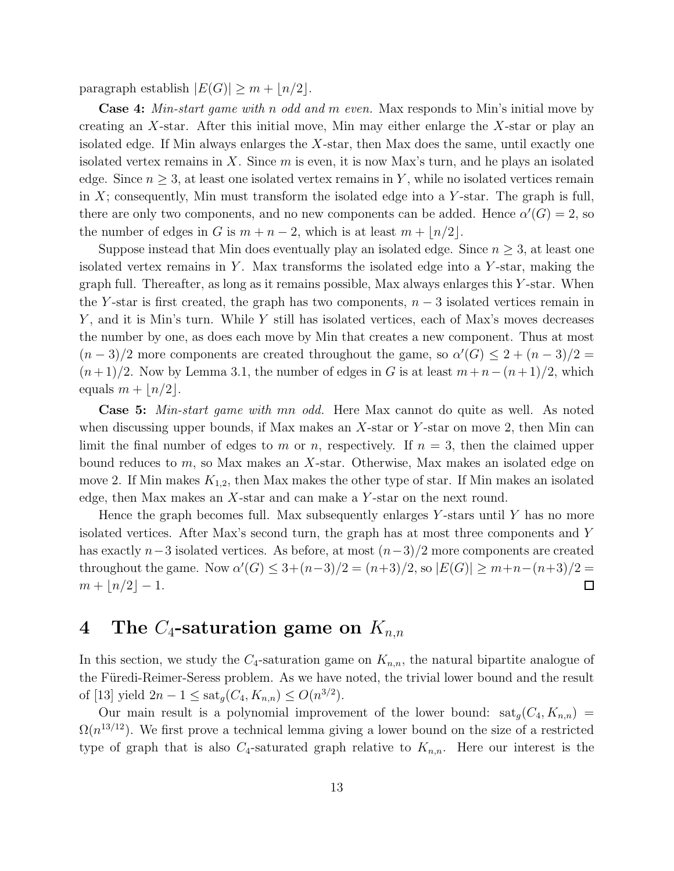paragraph establish  $|E(G)| \geq m + |n/2|$ .

Case 4: *Min-start game with* n *odd and* m *even.* Max responds to Min's initial move by creating an  $X$ -star. After this initial move, Min may either enlarge the  $X$ -star or play an isolated edge. If Min always enlarges the X-star, then Max does the same, until exactly one isolated vertex remains in X. Since  $m$  is even, it is now Max's turn, and he plays an isolated edge. Since  $n \geq 3$ , at least one isolated vertex remains in Y, while no isolated vertices remain in  $X$ ; consequently, Min must transform the isolated edge into a  $Y$ -star. The graph is full, there are only two components, and no new components can be added. Hence  $\alpha'(G) = 2$ , so the number of edges in G is  $m + n - 2$ , which is at least  $m + \lfloor n/2 \rfloor$ .

Suppose instead that Min does eventually play an isolated edge. Since  $n \geq 3$ , at least one isolated vertex remains in Y. Max transforms the isolated edge into a Y-star, making the graph full. Thereafter, as long as it remains possible, Max always enlarges this  $Y$ -star. When the Y-star is first created, the graph has two components,  $n-3$  isolated vertices remain in Y, and it is Min's turn. While Y still has isolated vertices, each of Max's moves decreases the number by one, as does each move by Min that creates a new component. Thus at most  $(n-3)/2$  more components are created throughout the game, so  $\alpha'(G) \leq 2 + (n-3)/2 =$  $(n+1)/2$ . Now by Lemma 3.1, the number of edges in G is at least  $m+n-(n+1)/2$ , which equals  $m + |n/2|$ .

Case 5: *Min-start game with* mn *odd.* Here Max cannot do quite as well. As noted when discussing upper bounds, if Max makes an  $X$ -star or  $Y$ -star on move 2, then Min can limit the final number of edges to m or n, respectively. If  $n = 3$ , then the claimed upper bound reduces to m, so Max makes an X-star. Otherwise, Max makes an isolated edge on move 2. If Min makes  $K_{1,2}$ , then Max makes the other type of star. If Min makes an isolated edge, then Max makes an X-star and can make a Y -star on the next round.

Hence the graph becomes full. Max subsequently enlarges  $Y$ -stars until  $Y$  has no more isolated vertices. After Max's second turn, the graph has at most three components and Y has exactly  $n-3$  isolated vertices. As before, at most  $(n-3)/2$  more components are created throughout the game. Now  $\alpha'(G) \leq 3 + (n-3)/2 = (n+3)/2$ , so  $|E(G)| \geq m+n-(n+3)/2 =$  $m + |n/2| - 1.$  $\Box$ 

# 4 The  $C_4$ -saturation game on  $K_{n,n}$

In this section, we study the  $C_4$ -saturation game on  $K_{n,n}$ , the natural bipartite analogue of the Füredi-Reimer-Seress problem. As we have noted, the trivial lower bound and the result of [13] yield  $2n - 1 \leq \text{sat}_g(C_4, K_{n,n}) \leq O(n^{3/2})$ .

Our main result is a polynomial improvement of the lower bound:  $\text{sat}_g(C_4, K_{n,n})$  $\Omega(n^{13/12})$ . We first prove a technical lemma giving a lower bound on the size of a restricted type of graph that is also  $C_4$ -saturated graph relative to  $K_{n,n}$ . Here our interest is the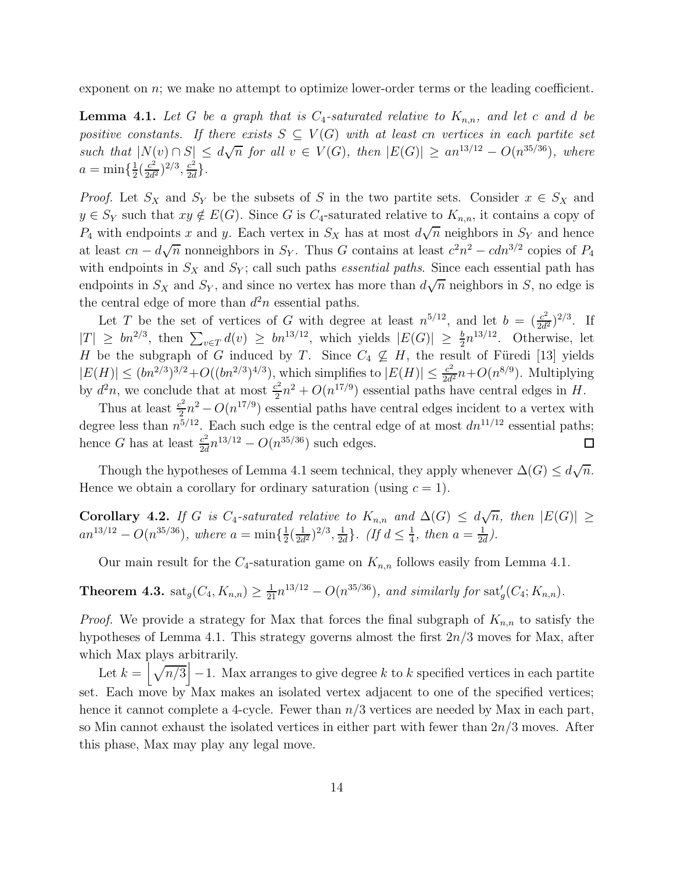exponent on n; we make no attempt to optimize lower-order terms or the leading coefficient.

**Lemma 4.1.** Let G be a graph that is  $C_4$ -saturated relative to  $K_{n,n}$ , and let c and d be *positive constants.* If there exists  $S \subseteq V(G)$  with at least cn vertices in each partite set *such that*  $|N(v) \cap S|$  ≤  $d\sqrt{n}$  *for all*  $v \in V(G)$ *, then*  $|E(G)| \ge an^{13/12} - O(n^{35/36})$ *, where*  $a = \min\{\frac{1}{2}$  $rac{1}{2}(\frac{c^2}{2d^2})$  $\frac{c^2}{2d^2}$ ) $\frac{2}{3}$ ,  $\frac{c^2}{2d}$  $\frac{c^2}{2d}$ .

*Proof.* Let  $S_X$  and  $S_Y$  be the subsets of S in the two partite sets. Consider  $x \in S_X$  and  $y \in S_Y$  such that  $xy \notin E(G)$ . Since G is C<sub>4</sub>-saturated relative to  $K_{n,n}$ , it contains a copy of  $P_4$  with endpoints x and y. Each vertex in  $S_X$  has at most  $d\sqrt{n}$  neighbors in  $S_Y$  and hence at least  $cn - d\sqrt{n}$  nonneighbors in  $S_Y$ . Thus G contains at least  $c^2n^2 - cdn^{3/2}$  copies of  $P_4$ with endpoints in  $S_X$  and  $S_Y$ ; call such paths *essential paths*. Since each essential path has endpoints in  $S_X$  and  $S_Y$ , and since no vertex has more than  $d\sqrt{n}$  neighbors in S, no edge is the central edge of more than  $d^2n$  essential paths.

Let T be the set of vertices of G with degree at least  $n^{5/12}$ , and let  $b = \left(\frac{c^2}{2d}\right)$  $\frac{c^2}{2d^2}$ )<sup>2/3</sup>. If  $|T| \geq b n^{2/3}$ , then  $\sum_{v \in T} d(v) \geq b n^{13/12}$ , which yields  $|E(G)| \geq \frac{b}{2} n^{13/12}$ . Otherwise, let H be the subgraph of G induced by T. Since  $C_4 \not\subseteq H$ , the result of Füredi [13] yields  $|E(H)| \leq (bn^{2/3})^{3/2} + O((bn^{2/3})^{4/3})$ , which simplifies to  $|E(H)| \leq \frac{c^2}{2d}$  $\frac{c^2}{2d^2}n+O(n^{8/9})$ . Multiplying by  $d^2n$ , we conclude that at most  $\frac{c^2}{2}$  $\frac{e^2}{2}n^2 + O(n^{17/9})$  essential paths have central edges in H.

Thus at least  $\frac{c^2}{2}n^2 - O(n^{17/9})$  essential paths have central edges incident to a vertex with 2 degree less than  $n^{5/12}$ . Each such edge is the central edge of at most  $dn^{11/12}$  essential paths; hence G has at least  $\frac{c^2}{2d}$  $\frac{c^2}{2d}n^{13/12} - O(n^{35/36})$  such edges.  $\Box$ 

Though the hypotheses of Lemma 4.1 seem technical, they apply whenever  $\Delta(G) \leq d\sqrt{n}$ . Hence we obtain a corollary for ordinary saturation (using  $c = 1$ ).

Corollary 4.2. *If* G *is* C<sub>4</sub>-saturated relative to  $K_{n,n}$  and  $\Delta(G) \leq d\sqrt{n}$ , then  $|E(G)| \geq$  $an^{13/12} - O(n^{35/36})$ *, where*  $a = \min\{\frac{1}{2}\}$  $rac{1}{2}(\frac{1}{2d}$  $\frac{1}{2d^2}$ )<sup>2/3</sup>,  $\frac{1}{2d}$  $\frac{1}{2d}$ . (If  $d \leq \frac{1}{4}$  $rac{1}{4}$ *, then*  $a = \frac{1}{2a}$  $\frac{1}{2d}$ .

Our main result for the  $C_4$ -saturation game on  $K_{n,n}$  follows easily from Lemma 4.1.

**Theorem 4.3.** 
$$
\text{sat}_g(C_4, K_{n,n}) \ge \frac{1}{21}n^{13/12} - O(n^{35/36})
$$
, and similarly for  $\text{sat}_g'(C_4; K_{n,n})$ .

*Proof.* We provide a strategy for Max that forces the final subgraph of  $K_{n,n}$  to satisfy the hypotheses of Lemma 4.1. This strategy governs almost the first  $2n/3$  moves for Max, after which Max plays arbitrarily.

Let  $k = \left\lfloor \sqrt{n/3} \right\rfloor - 1$ . Max arranges to give degree k to k specified vertices in each partite set. Each move by Max makes an isolated vertex adjacent to one of the specified vertices; hence it cannot complete a 4-cycle. Fewer than  $n/3$  vertices are needed by Max in each part, so Min cannot exhaust the isolated vertices in either part with fewer than  $2n/3$  moves. After this phase, Max may play any legal move.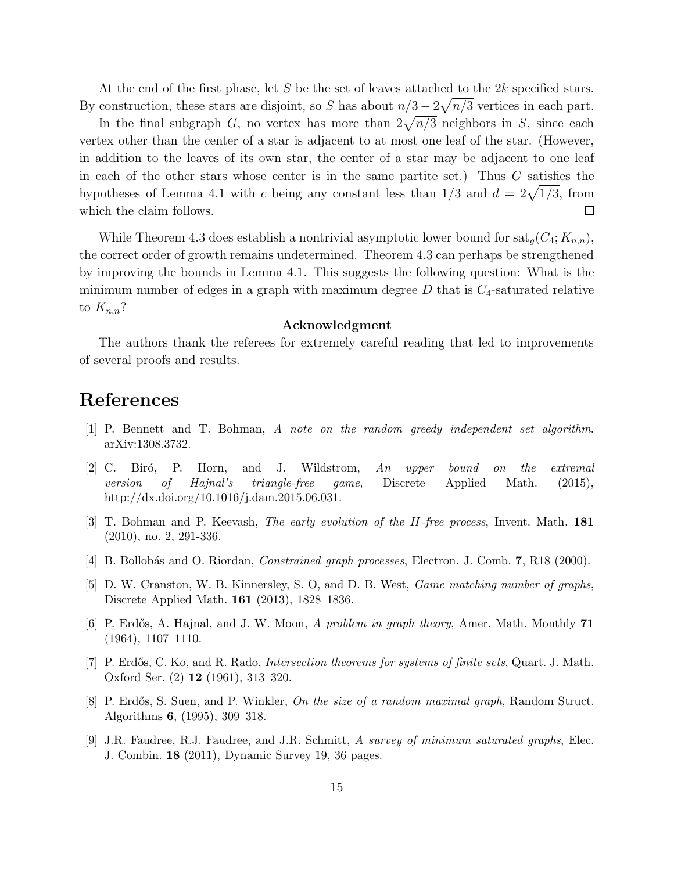At the end of the first phase, let S be the set of leaves attached to the  $2k$  specified stars. By construction, these stars are disjoint, so S has about  $n/3 - 2\sqrt{n/3}$  vertices in each part.

In the final subgraph G, no vertex has more than  $2\sqrt{n/3}$  neighbors in S, since each vertex other than the center of a star is adjacent to at most one leaf of the star. (However, in addition to the leaves of its own star, the center of a star may be adjacent to one leaf in each of the other stars whose center is in the same partite set.) Thus  $G$  satisfies the hypotheses of Lemma 4.1 with c being any constant less than  $1/3$  and  $d = 2\sqrt{1/3}$ , from which the claim follows.  $\Box$ 

While Theorem 4.3 does establish a nontrivial asymptotic lower bound for  $\text{sat}_q(C_4; K_{n,n}),$ the correct order of growth remains undetermined. Theorem 4.3 can perhaps be strengthened by improving the bounds in Lemma 4.1. This suggests the following question: What is the minimum number of edges in a graph with maximum degree  $D$  that is  $C_4$ -saturated relative to  $K_{n,n}$ ?

#### Acknowledgment

The authors thank the referees for extremely careful reading that led to improvements of several proofs and results.

## References

- [1] P. Bennett and T. Bohman, A note on the random greedy independent set algorithm. arXiv:1308.3732.
- [2] C. Biró, P. Horn, and J. Wildstrom, An upper bound on the extremal version of Hajnal's triangle-free game, Discrete Applied Math. (2015), http://dx.doi.org/10.1016/j.dam.2015.06.031.
- [3] T. Bohman and P. Keevash, *The early evolution of the H-free process*, Invent. Math. 181 (2010), no. 2, 291-336.
- [4] B. Bollobás and O. Riordan, *Constrained graph processes*, Electron. J. Comb. 7, R18 (2000).
- [5] D. W. Cranston, W. B. Kinnersley, S. O, and D. B. West, Game matching number of graphs, Discrete Applied Math. 161 (2013), 1828–1836.
- [6] P. Erdős, A. Hajnal, and J. W. Moon, A problem in graph theory, Amer. Math. Monthly  $71$  $(1964), 1107-1110.$
- [7] P. Erdős, C. Ko, and R. Rado, *Intersection theorems for systems of finite sets*, Quart. J. Math. Oxford Ser. (2) 12 (1961), 313–320.
- [8] P. Erdős, S. Suen, and P. Winkler, On the size of a random maximal graph, Random Struct. Algorithms 6, (1995), 309–318.
- [9] J.R. Faudree, R.J. Faudree, and J.R. Schmitt, A survey of minimum saturated graphs, Elec. J. Combin. 18 (2011), Dynamic Survey 19, 36 pages.